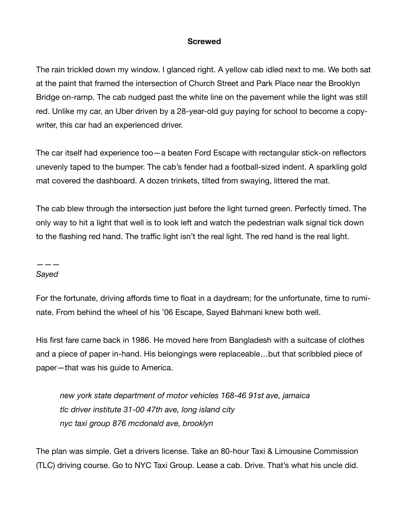# **Screwed**

The rain trickled down my window. I glanced right. A yellow cab idled next to me. We both sat at the paint that framed the intersection of Church Street and Park Place near the Brooklyn Bridge on-ramp. The cab nudged past the white line on the pavement while the light was still red. Unlike my car, an Uber driven by a 28-year-old guy paying for school to become a copywriter, this car had an experienced driver.

The car itself had experience too—a beaten Ford Escape with rectangular stick-on reflectors unevenly taped to the bumper. The cab's fender had a football-sized indent. A sparkling gold mat covered the dashboard. A dozen trinkets, tilted from swaying, littered the mat.

The cab blew through the intersection just before the light turned green. Perfectly timed. The only way to hit a light that well is to look left and watch the pedestrian walk signal tick down to the flashing red hand. The traffic light isn't the real light. The red hand is the real light.

## ——— *Sayed*

For the fortunate, driving affords time to float in a daydream; for the unfortunate, time to ruminate. From behind the wheel of his '06 Escape, Sayed Bahmani knew both well.

His first fare came back in 1986. He moved here from Bangladesh with a suitcase of clothes and a piece of paper in-hand. His belongings were replaceable…but that scribbled piece of paper—that was his guide to America.

*new york state department of motor vehicles 168-46 91st ave, jamaica tlc driver institute 31-00 47th ave, long island city nyc taxi group 876 mcdonald ave, brooklyn* 

The plan was simple. Get a drivers license. Take an 80-hour Taxi & Limousine Commission (TLC) driving course. Go to NYC Taxi Group. Lease a cab. Drive. That's what his uncle did.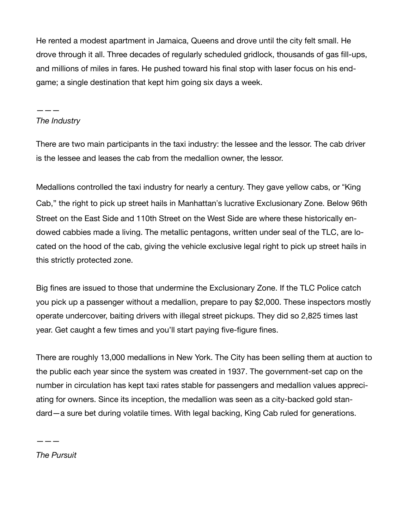He rented a modest apartment in Jamaica, Queens and drove until the city felt small. He drove through it all. Three decades of regularly scheduled gridlock, thousands of gas fill-ups, and millions of miles in fares. He pushed toward his final stop with laser focus on his endgame; a single destination that kept him going six days a week.

## ——— *The Industry*

There are two main participants in the taxi industry: the lessee and the lessor. The cab driver is the lessee and leases the cab from the medallion owner, the lessor.

Medallions controlled the taxi industry for nearly a century. They gave yellow cabs, or "King Cab," the right to pick up street hails in Manhattan's lucrative Exclusionary Zone. Below 96th Street on the East Side and 110th Street on the West Side are where these historically endowed cabbies made a living. The metallic pentagons, written under seal of the TLC, are located on the hood of the cab, giving the vehicle exclusive legal right to pick up street hails in this strictly protected zone.

Big fines are issued to those that undermine the Exclusionary Zone. If the TLC Police catch you pick up a passenger without a medallion, prepare to pay \$2,000. These inspectors mostly operate undercover, baiting drivers with illegal street pickups. They did so 2,825 times last year. Get caught a few times and you'll start paying five-figure fines.

There are roughly 13,000 medallions in New York. The City has been selling them at auction to the public each year since the system was created in 1937. The government-set cap on the number in circulation has kept taxi rates stable for passengers and medallion values appreciating for owners. Since its inception, the medallion was seen as a city-backed gold standard—a sure bet during volatile times. With legal backing, King Cab ruled for generations.

*The Pursuit* 

———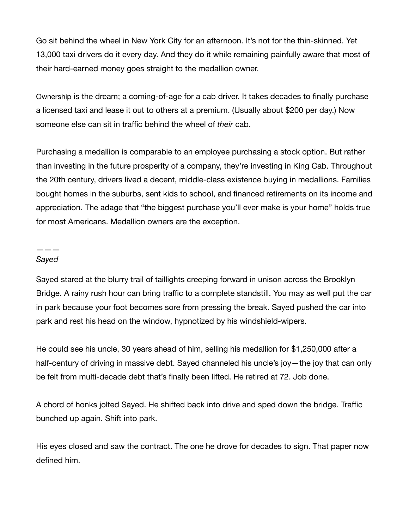Go sit behind the wheel in New York City for an afternoon. It's not for the thin-skinned. Yet 13,000 taxi drivers do it every day. And they do it while remaining painfully aware that most of their hard-earned money goes straight to the medallion owner.

Ownership is the dream; a coming-of-age for a cab driver. It takes decades to finally purchase a licensed taxi and lease it out to others at a premium. (Usually about \$200 per day.) Now someone else can sit in traffic behind the wheel of *their* cab.

Purchasing a medallion is comparable to an employee purchasing a stock option. But rather than investing in the future prosperity of a company, they're investing in King Cab. Throughout the 20th century, drivers lived a decent, middle-class existence buying in medallions. Families bought homes in the suburbs, sent kids to school, and financed retirements on its income and appreciation. The adage that "the biggest purchase you'll ever make is your home" holds true for most Americans. Medallion owners are the exception.

#### ——— *Sayed*

Sayed stared at the blurry trail of taillights creeping forward in unison across the Brooklyn Bridge. A rainy rush hour can bring traffic to a complete standstill. You may as well put the car in park because your foot becomes sore from pressing the break. Sayed pushed the car into park and rest his head on the window, hypnotized by his windshield-wipers.

He could see his uncle, 30 years ahead of him, selling his medallion for \$1,250,000 after a half-century of driving in massive debt. Sayed channeled his uncle's joy—the joy that can only be felt from multi-decade debt that's finally been lifted. He retired at 72. Job done.

A chord of honks jolted Sayed. He shifted back into drive and sped down the bridge. Traffic bunched up again. Shift into park.

His eyes closed and saw the contract. The one he drove for decades to sign. That paper now defined him.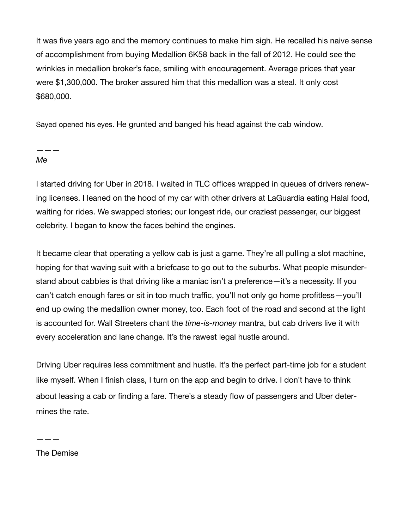It was five years ago and the memory continues to make him sigh. He recalled his naive sense of accomplishment from buying Medallion 6K58 back in the fall of 2012. He could see the wrinkles in medallion broker's face, smiling with encouragement. Average prices that year were \$1,300,000. The broker assured him that this medallion was a steal. It only cost \$680,000.

Sayed opened his eyes. He grunted and banged his head against the cab window.

——— *Me* 

I started driving for Uber in 2018. I waited in TLC offices wrapped in queues of drivers renewing licenses. I leaned on the hood of my car with other drivers at LaGuardia eating Halal food, waiting for rides. We swapped stories; our longest ride, our craziest passenger, our biggest celebrity. I began to know the faces behind the engines.

It became clear that operating a yellow cab is just a game. They're all pulling a slot machine, hoping for that waving suit with a briefcase to go out to the suburbs. What people misunderstand about cabbies is that driving like a maniac isn't a preference—it's a necessity. If you can't catch enough fares or sit in too much traffic, you'll not only go home profitless—you'll end up owing the medallion owner money, too. Each foot of the road and second at the light is accounted for. Wall Streeters chant the *time-is-money* mantra, but cab drivers live it with every acceleration and lane change. It's the rawest legal hustle around.

Driving Uber requires less commitment and hustle. It's the perfect part-time job for a student like myself. When I finish class, I turn on the app and begin to drive. I don't have to think about leasing a cab or finding a fare. There's a steady flow of passengers and Uber determines the rate.

The Demise

———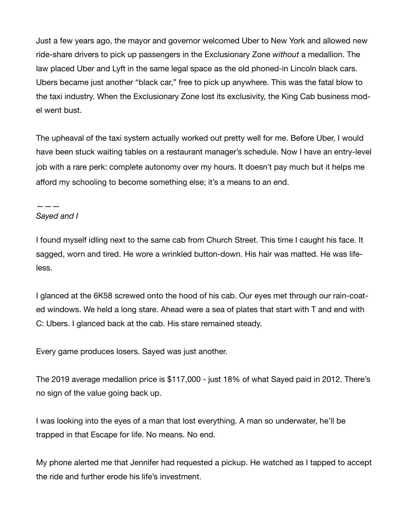Just a few years ago, the mayor and governor welcomed Uber to New York and allowed new ride-share drivers to pick up passengers in the Exclusionary Zone *without* a medallion. The law placed Uber and Lyft in the same legal space as the old phoned-in Lincoln black cars. Ubers became just another "black car," free to pick up anywhere. This was the fatal blow to the taxi industry. When the Exclusionary Zone lost its exclusivity, the King Cab business model went bust.

The upheaval of the taxi system actually worked out pretty well for me. Before Uber, I would have been stuck waiting tables on a restaurant manager's schedule. Now I have an entry-level job with a rare perk: complete autonomy over my hours. It doesn't pay much but it helps me afford my schooling to become something else; it's a means to an end.

## ——— *Sayed and I*

I found myself idling next to the same cab from Church Street. This time I caught his face. It sagged, worn and tired. He wore a wrinkled button-down. His hair was matted. He was lifeless.

I glanced at the 6K58 screwed onto the hood of his cab. Our eyes met through our rain-coated windows. We held a long stare. Ahead were a sea of plates that start with T and end with C: Ubers. I glanced back at the cab. His stare remained steady.

Every game produces losers. Sayed was just another.

The 2019 average medallion price is \$117,000 - just 18% of what Sayed paid in 2012. There's no sign of the value going back up.

I was looking into the eyes of a man that lost everything. A man so underwater, he'll be trapped in that Escape for life. No means. No end.

My phone alerted me that Jennifer had requested a pickup. He watched as I tapped to accept the ride and further erode his life's investment.